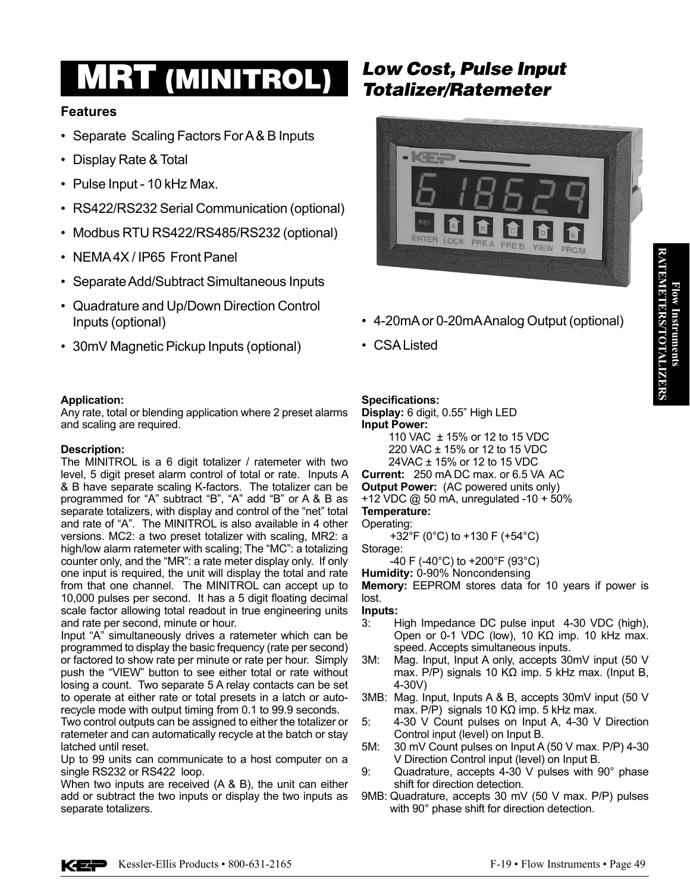# **MRT (MINITROL)** Low Cost, Pulse Input<br>Totalizer/Ratemeter

## **Features**

- Separate Scaling Factors For A & B Inputs
- Display Rate & Total
- Pulse Input 10 kHz Max.
- RS422/RS232 Serial Communication (optional)
- Modbus RTU RS422/RS485/RS232 (optional)
- NEMA4X/IP65 Front Panel
- Separate Add/Subtract Simultaneous Inputs
- Quadrature and Up/Down Direction Control Inputs (optional)
- 30mV Magnetic Pickup Inputs (optional)

### **Application:**

Any rate, total or blending application where 2 preset alarms and scaling are required.

#### **Description:**

The MINITROL is a 6 digit totalizer / ratemeter with two level, 5 digit preset alarm control of total or rate. Inputs A & B have separate scaling K-factors. The totalizer can be programmed for "A" subtract "B", "A" add "B" or A & B as separate totalizers, with display and control of the "net" total and rate of "A". The MINITROL is also available in 4 other versions. MC2: a two preset totalizer with scaling, MR2: a high/low alarm ratemeter with scaling; The "MC": a totalizing counter only, and the "MR": a rate meter display only. If only one input is required, the unit will display the total and rate from that one channel. The MINITROL can accept up to 10,000 pulses per second. It has a 5 digit floating decimal scale factor allowing total readout in true engineering units and rate per second, minute or hour.

Input "A" simultaneously drives a ratemeter which can be programmed to display the basic frequency (rate per second) or factored to show rate per minute or rate per hour. Simply push the "VIEW" button to see either total or rate without losing a count. Two separate 5 A relay contacts can be set to operate at either rate or total presets in a latch or autorecycle mode with output timing from 0.1 to 99.9 seconds.

Two control outputs can be assigned to either the totalizer or ratemeter and can automatically recycle at the batch or stay latched until reset.

Up to 99 units can communicate to a host computer on a single RS232 or RS422 loop.

When two inputs are received (A & B), the unit can either add or subtract the two inputs or display the two inputs as separate totalizers.



- • 4-20mAor 0-20mAAnalog Output (optional)
- • CSAListed

### **Specifications:**

**Display:** 6 digit, 0.55" High LED **Input Power:** 110 VAC ± 15% or 12 to 15 VDC

 220 VAC ± 15% or 12 to 15 VDC 24VAC ± 15% or 12 to 15 VDC

**Current:** 250 mA DC max. or 6.5 VA AC

**Output Power:** (AC powered units only) +12 VDC @ 50 mA, unregulated -10 + 50% **Temperature:**

Operating:

 +32°F (0°C) to +130 F (+54°C)

Storage:

 -40 F (-40°C) to +200°F (93°C)

**Humidity:** 0-90% Noncondensing

**Memory:** EEPROM stores data for 10 years if power is lost.

#### **Inputs:**

- 3: High Impedance DC pulse input 4-30 VDC (high), Open or 0-1 VDC (low), 10 KΩ imp. 10 kHz max. speed. Accepts simultaneous inputs.
- 3M: Mag. Input, Input A only, accepts 30mV input (50 V max. P/P) signals 10 KΩ imp. 5 kHz max. (Input B, 4-30V)
- 3MB: Mag. Input, Inputs A & B, accepts 30mV input (50 V max. P/P) signals 10 KΩ imp. 5 kHz max.
- 5: 4-30 V Count pulses on Input A, 4-30 V Direction Control input (level) on Input B.
- 5M: 30 mV Count pulses on Input A (50 V max. P/P) 4-30 V Direction Control input (level) on Input B.
- 9: Quadrature, accepts 4-30 V pulses with 90° phase shift for direction detection.
- 9MB: Quadrature, accepts 30 mV (50 V max. P/P) pulses with 90° phase shift for direction detection.

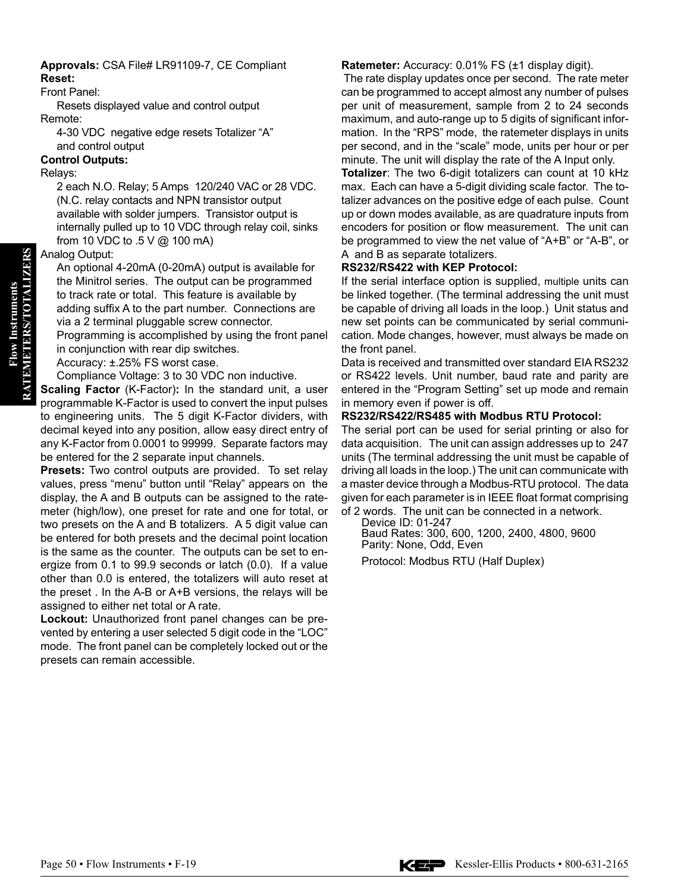#### **Approvals:** CSA File# LR91109-7, CE Compliant **Reset:**

#### Front Panel:

 Resets displayed value and control output Remote:

 4-30 VDC negative edge resets Totalizer "A" and control output

#### **Control Outputs:**

Relays:

 2 each N.O. Relay; 5 Amps 120/240 VAC or 28 VDC. (N.C. relay contacts and NPN transistor output available with solder jumpers. Transistor output is internally pulled up to 10 VDC through relay coil, sinks from 10 VDC to .5 V @ 100 mA)

#### Analog Output:

 An optional 4-20mA (0-20mA) output is available for the Minitrol series. The output can be programmed to track rate or total. This feature is available by adding suffix A to the part number. Connections are via a 2 terminal pluggable screw connector.

 Programming is accomplished by using the front panel in conjunction with rear dip switches.

 Accuracy: ±.25% FS worst case.

 Compliance Voltage: 3 to 30 VDC non inductive.

**Scaling Factor** (K-Factor)**:** In the standard unit, a user programmable K-Factor is used to convert the input pulses to engineering units. The 5 digit K-Factor dividers, with decimal keyed into any position, allow easy direct entry of any K-Factor from 0.0001 to 99999. Separate factors may be entered for the 2 separate input channels.

**Presets:** Two control outputs are provided. To set relay values, press "menu" button until "Relay" appears on the display, the A and B outputs can be assigned to the ratemeter (high/low), one preset for rate and one for total, or two presets on the A and B totalizers. A 5 digit value can be entered for both presets and the decimal point location is the same as the counter. The outputs can be set to energize from 0.1 to 99.9 seconds or latch (0.0). If a value other than 0.0 is entered, the totalizers will auto reset at the preset . In the A-B or A+B versions, the relays will be assigned to either net total or A rate.

**Lockout:** Unauthorized front panel changes can be prevented by entering a user selected 5 digit code in the "LOC" mode. The front panel can be completely locked out or the presets can remain accessible.

#### **Ratemeter:** Accuracy: 0.01% FS (±1 display digit).

The rate display updates once per second. The rate meter can be programmed to accept almost any number of pulses per unit of measurement, sample from 2 to 24 seconds maximum, and auto-range up to 5 digits of significant information. In the "RPS" mode, the ratemeter displays in units per second, and in the "scale" mode, units per hour or per minute. The unit will display the rate of the A Input only.

**Totalizer**: The two 6-digit totalizers can count at 10 kHz max. Each can have a 5-digit dividing scale factor. The totalizer advances on the positive edge of each pulse. Count up or down modes available, as are quadrature inputs from encoders for position or flow measurement. The unit can be programmed to view the net value of "A+B" or "A-B", or A and B as separate totalizers.

#### **RS232/RS422 with KEP Protocol:**

If the serial interface option is supplied, multiple units can be linked together. (The terminal addressing the unit must be capable of driving all loads in the loop.) Unit status and new set points can be communicated by serial communication. Mode changes, however, must always be made on the front panel.

Data is received and transmitted over standard EIA RS232 or RS422 levels. Unit number, baud rate and parity are entered in the "Program Setting" set up mode and remain in memory even if power is off.

#### **RS232/RS422/RS485 with Modbus RTU Protocol:**

The serial port can be used for serial printing or also for data acquisition. The unit can assign addresses up to 247 units (The terminal addressing the unit must be capable of driving all loads in the loop.) The unit can communicate with a master device through a Modbus-RTU protocol. The data given for each parameter is in IEEE float format comprising of 2 words. The unit can be connected in a network.

 Device ID: 01-247

 Baud Rates: 300, 600, 1200, 2400, 4800, 9600 Parity: None, Odd, Even Protocol: Modbus RTU (Half Duplex)

**Flow Instruments RATEMETERS/TOTALIZERS**

**RATEMETERS/TOTALIZERS Flow Instruments**